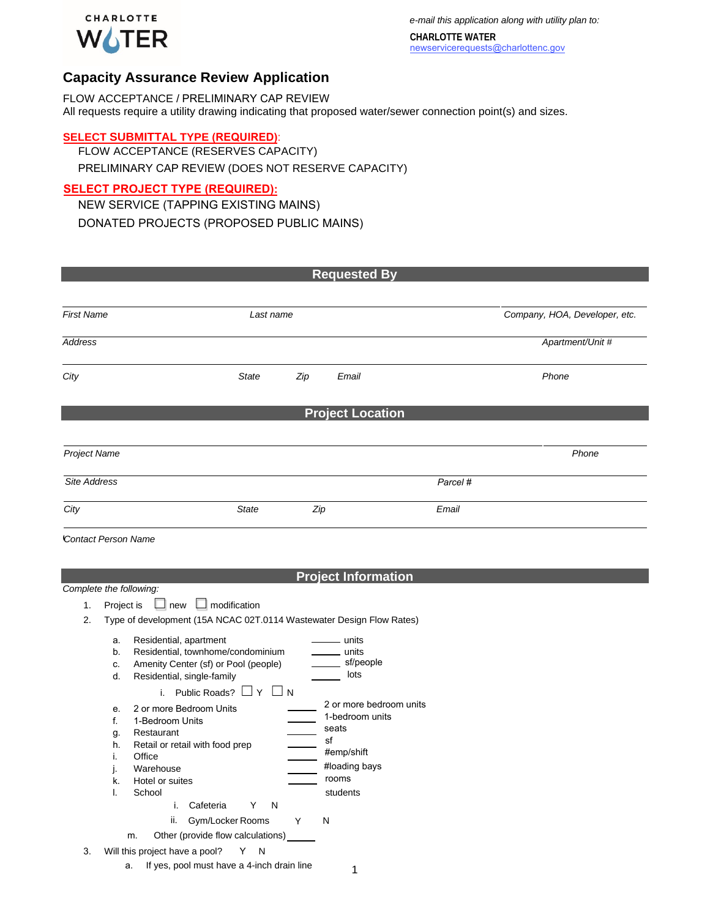

*e-mail this application along with utility plan to:*

**CHARLOTTE WATER**  newservicerequests@charlottenc.gov

## **Capacity Assurance Review Application**

FLOW ACCEPTANCE / PRELIMINARY CAP REVIEW All requests require a utility drawing indicating that proposed water/sewer connection point(s) and sizes.

#### **SELECT SUBMITTAL TYPE (REQUIRED)**:

FLOW ACCEPTANCE (RESERVES CAPACITY) PRELIMINARY CAP REVIEW (DOES NOT RESERVE CAPACITY)

### **SELECT PROJECT TYPE (REQUIRED):**

NEW SERVICE (TAPPING EXISTING MAINS) DONATED PROJECTS (PROPOSED PUBLIC MAINS)

| <b>Requested By</b>        |                         |              |          |                               |  |  |
|----------------------------|-------------------------|--------------|----------|-------------------------------|--|--|
|                            |                         |              |          |                               |  |  |
| <b>First Name</b>          | Last name               |              |          | Company, HOA, Developer, etc. |  |  |
| Address                    |                         |              |          | Apartment/Unit #              |  |  |
| City                       | <b>State</b>            | Zip<br>Email |          | Phone                         |  |  |
|                            | <b>Project Location</b> |              |          |                               |  |  |
|                            |                         |              |          |                               |  |  |
| Project Name               |                         |              |          | Phone                         |  |  |
| Site Address               |                         |              | Parcel # |                               |  |  |
| City                       | <b>State</b>            | Zip          | Email    |                               |  |  |
| <b>Contact Person Name</b> |                         |              |          |                               |  |  |

### **Project Information**

#### *Complete the following:*

- 1. Project is ☐ new ☐ modification
- 2. Type of development (15A NCAC 02T.0114 Wastewater Design Flow Rates)

|    | a.<br>b.<br>C.<br>d.                        | Residential, apartment<br>units<br>units<br>Residential, townhome/condominium<br>sf/people<br>Amenity Center (sf) or Pool (people)<br>lots<br>Residential, single-family                                                                                         |
|----|---------------------------------------------|------------------------------------------------------------------------------------------------------------------------------------------------------------------------------------------------------------------------------------------------------------------|
|    |                                             | Public Roads?<br>i.<br>N                                                                                                                                                                                                                                         |
|    | e<br>f.<br>g.<br>h.<br>İ.<br>J.<br>k.<br>I. | 2 or more bedroom units<br>2 or more Bedroom Units<br>1-bedroom units<br>1-Bedroom Units<br>seats<br>Restaurant<br>sf<br>Retail or retail with food prep<br>#emp/shift<br>Office<br>#loading bays<br>Warehouse<br>rooms<br>Hotel or suites<br>School<br>students |
|    |                                             | i.<br>N<br>Cafeteria<br>Y                                                                                                                                                                                                                                        |
|    |                                             | ii.<br>Gym/Locker Rooms<br>Υ<br>N                                                                                                                                                                                                                                |
|    |                                             | Other (provide flow calculations)<br>m.                                                                                                                                                                                                                          |
| 3. |                                             | Will this project have a pool?<br>N                                                                                                                                                                                                                              |

a. If yes, pool must have a 4-inch drain line